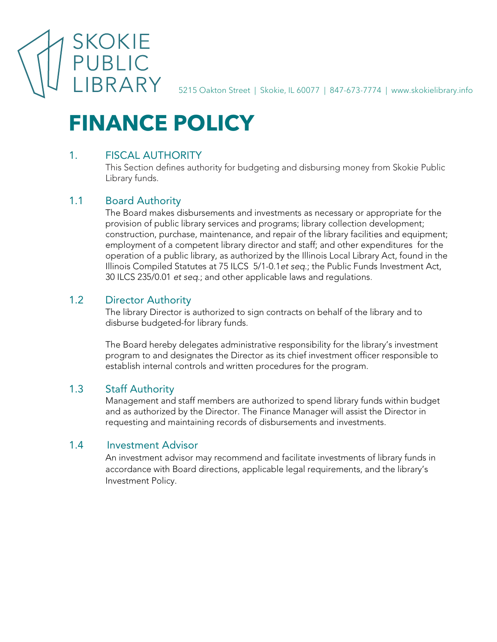

5215 Oakton Street | Skokie, IL 60077 | 847-673-7774 | www.skokielibrary.info

# **FINANCE POLICY**

# 1. FISCAL AUTHORITY

This Section defines authority for budgeting and disbursing money from Skokie Public Library funds.

# 1.1 Board Authority

The Board makes disbursements and investments as necessary or appropriate for the provision of public library services and programs; library collection development; construction, purchase, maintenance, and repair of the library facilities and equipment; employment of a competent library director and staff; and other expenditures for the operation of a public library, as authorized by the Illinois Local Library Act, found in the Illinois Compiled Statutes at 75 ILCS 5/1-0.1*et seq*.; the Public Funds Investment Act, 30 ILCS 235/0.01 *et seq*.; and other applicable laws and regulations.

# 1.2 Director Authority

The library Director is authorized to sign contracts on behalf of the library and to disburse budgeted-for library funds.

The Board hereby delegates administrative responsibility for the library's investment program to and designates the Director as its chief investment officer responsible to establish internal controls and written procedures for the program.

## 1.3 Staff Authority

Management and staff members are authorized to spend library funds within budget and as authorized by the Director. The Finance Manager will assist the Director in requesting and maintaining records of disbursements and investments.

# 1.4 Investment Advisor

An investment advisor may recommend and facilitate investments of library funds in accordance with Board directions, applicable legal requirements, and the library's Investment Policy.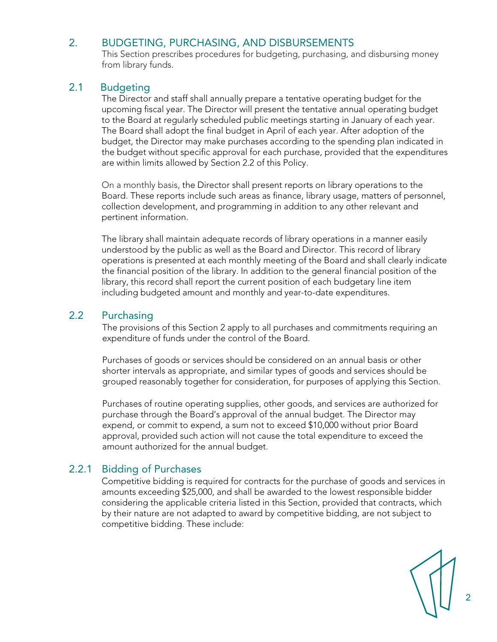## 2. BUDGETING, PURCHASING, AND DISBURSEMENTS

This Section prescribes procedures for budgeting, purchasing, and disbursing money from library funds.

## 2.1 Budgeting

The Director and staff shall annually prepare a tentative operating budget for the upcoming fiscal year. The Director will present the tentative annual operating budget to the Board at regularly scheduled public meetings starting in January of each year. The Board shall adopt the final budget in April of each year. After adoption of the budget, the Director may make purchases according to the spending plan indicated in the budget without specific approval for each purchase, provided that the expenditures are within limits allowed by Section 2.2 of this Policy.

On a monthly basis, the Director shall present reports on library operations to the Board. These reports include such areas as finance, library usage, matters of personnel, collection development, and programming in addition to any other relevant and pertinent information.

The library shall maintain adequate records of library operations in a manner easily understood by the public as well as the Board and Director. This record of library operations is presented at each monthly meeting of the Board and shall clearly indicate the financial position of the library. In addition to the general financial position of the library, this record shall report the current position of each budgetary line item including budgeted amount and monthly and year-to-date expenditures.

# 2.2 Purchasing

The provisions of this Section 2 apply to all purchases and commitments requiring an expenditure of funds under the control of the Board.

Purchases of goods or services should be considered on an annual basis or other shorter intervals as appropriate, and similar types of goods and services should be grouped reasonably together for consideration, for purposes of applying this Section.

Purchases of routine operating supplies, other goods, and services are authorized for purchase through the Board's approval of the annual budget. The Director may expend, or commit to expend, a sum not to exceed \$10,000 without prior Board approval, provided such action will not cause the total expenditure to exceed the amount authorized for the annual budget.

# 2.2.1 Bidding of Purchases

Competitive bidding is required for contracts for the purchase of goods and services in amounts exceeding \$25,000, and shall be awarded to the lowest responsible bidder considering the applicable criteria listed in this Section, provided that contracts, which by their nature are not adapted to award by competitive bidding, are not subject to competitive bidding. These include:

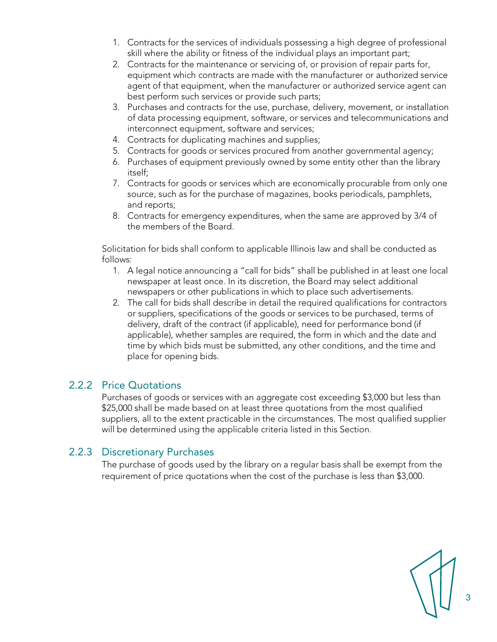- 1. Contracts for the services of individuals possessing a high degree of professional skill where the ability or fitness of the individual plays an important part;
- 2. Contracts for the maintenance or servicing of, or provision of repair parts for, equipment which contracts are made with the manufacturer or authorized service agent of that equipment, when the manufacturer or authorized service agent can best perform such services or provide such parts;
- 3. Purchases and contracts for the use, purchase, delivery, movement, or installation of data processing equipment, software, or services and telecommunications and interconnect equipment, software and services;
- 4. Contracts for duplicating machines and supplies;
- 5. Contracts for goods or services procured from another governmental agency;
- 6. Purchases of equipment previously owned by some entity other than the library itself;
- 7. Contracts for goods or services which are economically procurable from only one source, such as for the purchase of magazines, books periodicals, pamphlets, and reports;
- 8. Contracts for emergency expenditures, when the same are approved by 3/4 of the members of the Board.

Solicitation for bids shall conform to applicable Illinois law and shall be conducted as follows:

- 1. A legal notice announcing a "call for bids" shall be published in at least one local newspaper at least once. In its discretion, the Board may select additional newspapers or other publications in which to place such advertisements.
- 2. The call for bids shall describe in detail the required qualifications for contractors or suppliers, specifications of the goods or services to be purchased, terms of delivery, draft of the contract (if applicable), need for performance bond (if applicable), whether samples are required, the form in which and the date and time by which bids must be submitted, any other conditions, and the time and place for opening bids.

#### 2.2.2 Price Quotations

Purchases of goods or services with an aggregate cost exceeding \$3,000 but less than \$25,000 shall be made based on at least three quotations from the most qualified suppliers, all to the extent practicable in the circumstances. The most qualified supplier will be determined using the applicable criteria listed in this Section.

#### 2.2.3 Discretionary Purchases

The purchase of goods used by the library on a regular basis shall be exempt from the requirement of price quotations when the cost of the purchase is less than \$3,000.

3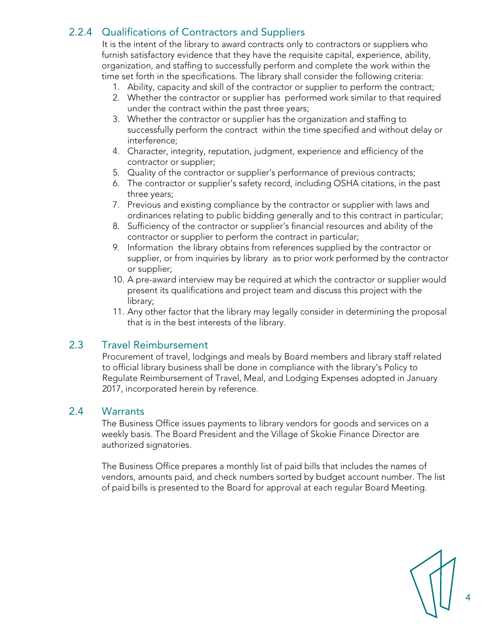# 2.2.4 Qualifications of Contractors and Suppliers

It is the intent of the library to award contracts only to contractors or suppliers who furnish satisfactory evidence that they have the requisite capital, experience, ability, organization, and staffing to successfully perform and complete the work within the time set forth in the specifications. The library shall consider the following criteria:

- 1. Ability, capacity and skill of the contractor or supplier to perform the contract;
- 2. Whether the contractor or supplier has performed work similar to that required under the contract within the past three years;
- 3. Whether the contractor or supplier has the organization and staffing to successfully perform the contract within the time specified and without delay or interference;
- 4. Character, integrity, reputation, judgment, experience and efficiency of the contractor or supplier;
- 5. Quality of the contractor or supplier's performance of previous contracts;
- 6. The contractor or supplier's safety record, including OSHA citations, in the past three years;
- 7. Previous and existing compliance by the contractor or supplier with laws and ordinances relating to public bidding generally and to this contract in particular;
- 8. Sufficiency of the contractor or supplier's financial resources and ability of the contractor or supplier to perform the contract in particular;
- 9. Information the library obtains from references supplied by the contractor or supplier, or from inquiries by library as to prior work performed by the contractor or supplier;
- 10. A pre-award interview may be required at which the contractor or supplier would present its qualifications and project team and discuss this project with the library;
- 11. Any other factor that the library may legally consider in determining the proposal that is in the best interests of the library.

#### 2.3 Travel Reimbursement

Procurement of travel, lodgings and meals by Board members and library staff related to official library business shall be done in compliance with the library's Policy to Regulate Reimbursement of Travel, Meal, and Lodging Expenses adopted in January 2017, incorporated herein by reference.

#### 2.4 Warrants

The Business Office issues payments to library vendors for goods and services on a weekly basis. The Board President and the Village of Skokie Finance Director are authorized signatories.

The Business Office prepares a monthly list of paid bills that includes the names of vendors, amounts paid, and check numbers sorted by budget account number. The list of paid bills is presented to the Board for approval at each regular Board Meeting.

4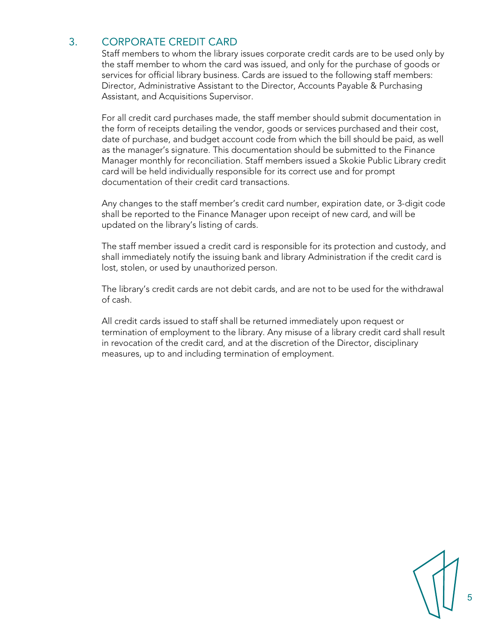# 3. CORPORATE CREDIT CARD

Staff members to whom the library issues corporate credit cards are to be used only by the staff member to whom the card was issued, and only for the purchase of goods or services for official library business. Cards are issued to the following staff members: Director, Administrative Assistant to the Director, Accounts Payable & Purchasing Assistant, and Acquisitions Supervisor.

For all credit card purchases made, the staff member should submit documentation in the form of receipts detailing the vendor, goods or services purchased and their cost, date of purchase, and budget account code from which the bill should be paid, as well as the manager's signature. This documentation should be submitted to the Finance Manager monthly for reconciliation. Staff members issued a Skokie Public Library credit card will be held individually responsible for its correct use and for prompt documentation of their credit card transactions.

Any changes to the staff member's credit card number, expiration date, or 3-digit code shall be reported to the Finance Manager upon receipt of new card, and will be updated on the library's listing of cards.

The staff member issued a credit card is responsible for its protection and custody, and shall immediately notify the issuing bank and library Administration if the credit card is lost, stolen, or used by unauthorized person.

The library's credit cards are not debit cards, and are not to be used for the withdrawal of cash.

All credit cards issued to staff shall be returned immediately upon request or termination of employment to the library. Any misuse of a library credit card shall result in revocation of the credit card, and at the discretion of the Director, disciplinary measures, up to and including termination of employment.

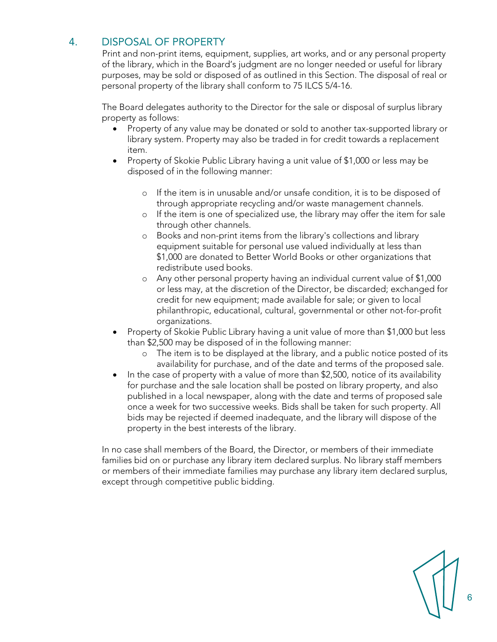# 4. DISPOSAL OF PROPERTY

Print and non-print items, equipment, supplies, art works, and or any personal property of the library, which in the Board's judgment are no longer needed or useful for library purposes, may be sold or disposed of as outlined in this Section. The disposal of real or personal property of the library shall conform to 75 ILCS 5/4-16.

The Board delegates authority to the Director for the sale or disposal of surplus library property as follows:

- Property of any value may be donated or sold to another tax-supported library or library system. Property may also be traded in for credit towards a replacement item.
- Property of Skokie Public Library having a unit value of \$1,000 or less may be disposed of in the following manner:
	- o If the item is in unusable and/or unsafe condition, it is to be disposed of through appropriate recycling and/or waste management channels.
	- o If the item is one of specialized use, the library may offer the item for sale through other channels.
	- o Books and non-print items from the library's collections and library equipment suitable for personal use valued individually at less than \$1,000 are donated to Better World Books or other organizations that redistribute used books.
	- o Any other personal property having an individual current value of \$1,000 or less may, at the discretion of the Director, be discarded; exchanged for credit for new equipment; made available for sale; or given to local philanthropic, educational, cultural, governmental or other not-for-profit organizations.
- Property of Skokie Public Library having a unit value of more than \$1,000 but less than \$2,500 may be disposed of in the following manner:
	- o The item is to be displayed at the library, and a public notice posted of its availability for purchase, and of the date and terms of the proposed sale.
- In the case of property with a value of more than \$2,500, notice of its availability for purchase and the sale location shall be posted on library property, and also published in a local newspaper, along with the date and terms of proposed sale once a week for two successive weeks. Bids shall be taken for such property. All bids may be rejected if deemed inadequate, and the library will dispose of the property in the best interests of the library.

In no case shall members of the Board, the Director, or members of their immediate families bid on or purchase any library item declared surplus. No library staff members or members of their immediate families may purchase any library item declared surplus, except through competitive public bidding.

6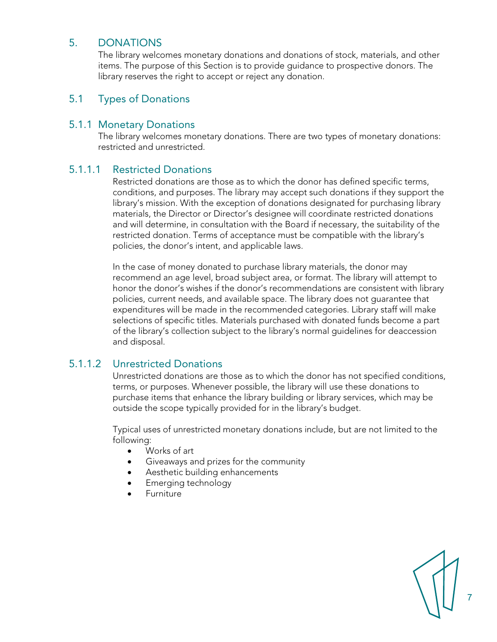## 5. DONATIONS

The library welcomes monetary donations and donations of stock, materials, and other items. The purpose of this Section is to provide guidance to prospective donors. The library reserves the right to accept or reject any donation.

## 5.1 Types of Donations

#### 5.1.1 Monetary Donations

The library welcomes monetary donations. There are two types of monetary donations: restricted and unrestricted.

## 5.1.1.1 Restricted Donations

Restricted donations are those as to which the donor has defined specific terms, conditions, and purposes. The library may accept such donations if they support the library's mission. With the exception of donations designated for purchasing library materials, the Director or Director's designee will coordinate restricted donations and will determine, in consultation with the Board if necessary, the suitability of the restricted donation. Terms of acceptance must be compatible with the library's policies, the donor's intent, and applicable laws.

In the case of money donated to purchase library materials, the donor may recommend an age level, broad subject area, or format. The library will attempt to honor the donor's wishes if the donor's recommendations are consistent with library policies, current needs, and available space. The library does not guarantee that expenditures will be made in the recommended categories. Library staff will make selections of specific titles. Materials purchased with donated funds become a part of the library's collection subject to the library's normal guidelines for deaccession and disposal.

## 5.1.1.2 Unrestricted Donations

Unrestricted donations are those as to which the donor has not specified conditions, terms, or purposes. Whenever possible, the library will use these donations to purchase items that enhance the library building or library services, which may be outside the scope typically provided for in the library's budget.

Typical uses of unrestricted monetary donations include, but are not limited to the following:

- Works of art
- Giveaways and prizes for the community
- Aesthetic building enhancements
- Emerging technology
- **Furniture**

7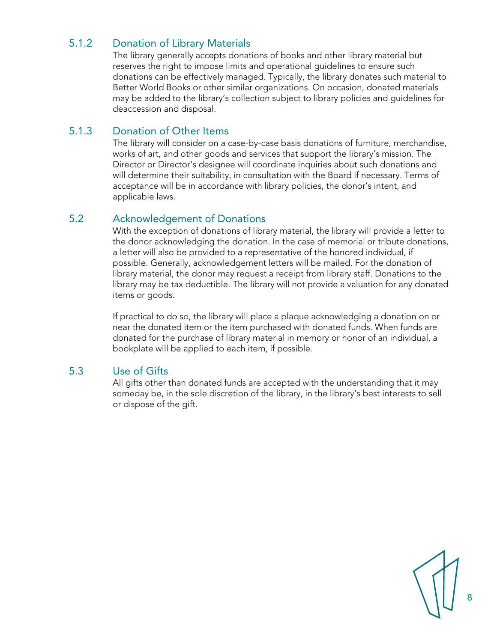# 5.1.2 Donation of Library Materials

The library generally accepts donations of books and other library material but reserves the right to impose limits and operational guidelines to ensure such donations can be effectively managed. Typically, the library donates such material to Better World Books or other similar organizations. On occasion, donated materials may be added to the library's collection subject to library policies and guidelines for deaccession and disposal.

## 5.1.3 Donation of Other Items

The library will consider on a case-by-case basis donations of furniture, merchandise, works of art, and other goods and services that support the library's mission. The Director or Director's designee will coordinate inquiries about such donations and will determine their suitability, in consultation with the Board if necessary. Terms of acceptance will be in accordance with library policies, the donor's intent, and applicable laws.

## 5.2 Acknowledgement of Donations

With the exception of donations of library material, the library will provide a letter to the donor acknowledging the donation. In the case of memorial or tribute donations, a letter will also be provided to a representative of the honored individual, if possible. Generally, acknowledgement letters will be mailed. For the donation of library material, the donor may request a receipt from library staff. Donations to the library may be tax deductible. The library will not provide a valuation for any donated items or goods.

If practical to do so, the library will place a plaque acknowledging a donation on or near the donated item or the item purchased with donated funds. When funds are donated for the purchase of library material in memory or honor of an individual, a bookplate will be applied to each item, if possible.

## 5.3 Use of Gifts

All gifts other than donated funds are accepted with the understanding that it may someday be, in the sole discretion of the library, in the library's best interests to sell or dispose of the gift.

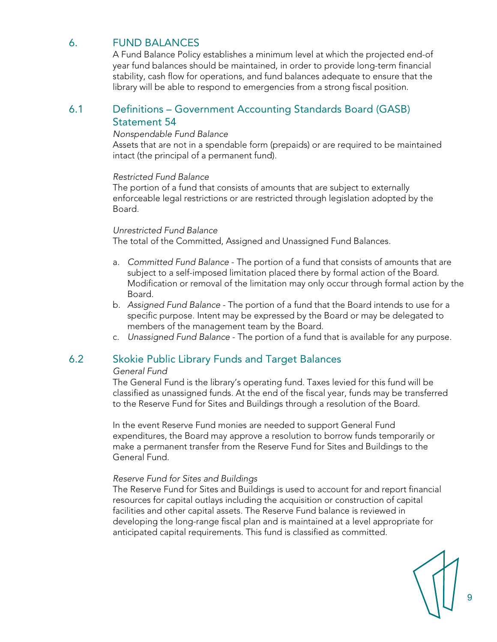# 6. FUND BALANCES

A Fund Balance Policy establishes a minimum level at which the projected end-of year fund balances should be maintained, in order to provide long-term financial stability, cash flow for operations, and fund balances adequate to ensure that the library will be able to respond to emergencies from a strong fiscal position.

## 6.1 Definitions – Government Accounting Standards Board (GASB) Statement 54

#### *Nonspendable Fund Balance*

Assets that are not in a spendable form (prepaids) or are required to be maintained intact (the principal of a permanent fund).

#### *Restricted Fund Balance*

The portion of a fund that consists of amounts that are subject to externally enforceable legal restrictions or are restricted through legislation adopted by the Board.

#### *Unrestricted Fund Balance*

The total of the Committed, Assigned and Unassigned Fund Balances.

- a. *Committed Fund Balance* The portion of a fund that consists of amounts that are subject to a self-imposed limitation placed there by formal action of the Board. Modification or removal of the limitation may only occur through formal action by the Board.
- b. *Assigned Fund Balance* The portion of a fund that the Board intends to use for a specific purpose. Intent may be expressed by the Board or may be delegated to members of the management team by the Board.
- c. *Unassigned Fund Balance* The portion of a fund that is available for any purpose.

## 6.2 Skokie Public Library Funds and Target Balances

#### *General Fund*

The General Fund is the library's operating fund. Taxes levied for this fund will be classified as unassigned funds. At the end of the fiscal year, funds may be transferred to the Reserve Fund for Sites and Buildings through a resolution of the Board.

In the event Reserve Fund monies are needed to support General Fund expenditures, the Board may approve a resolution to borrow funds temporarily or make a permanent transfer from the Reserve Fund for Sites and Buildings to the General Fund.

#### *Reserve Fund for Sites and Buildings*

The Reserve Fund for Sites and Buildings is used to account for and report financial resources for capital outlays including the acquisition or construction of capital facilities and other capital assets. The Reserve Fund balance is reviewed in developing the long-range fiscal plan and is maintained at a level appropriate for anticipated capital requirements. This fund is classified as committed.